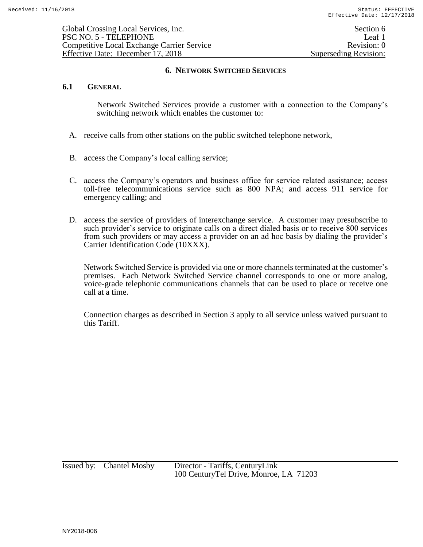## **6.1 GENERAL**

Network Switched Services provide a customer with a connection to the Company's switching network which enables the customer to:

- A. receive calls from other stations on the public switched telephone network,
- B. access the Company's local calling service;
- C. access the Company's operators and business office for service related assistance; access toll-free telecommunications service such as 800 NPA; and access 911 service for emergency calling; and
- D. access the service of providers of interexchange service. A customer may presubscribe to such provider's service to originate calls on a direct dialed basis or to receive 800 services from such providers or may access a provider on an ad hoc basis by dialing the provider's Carrier Identification Code (10XXX).

Network Switched Service is provided via one or more channels terminated at the customer's premises. Each Network Switched Service channel corresponds to one or more analog, voice-grade telephonic communications channels that can be used to place or receive one call at a time.

Connection charges as described in Section 3 apply to all service unless waived pursuant to this Tariff.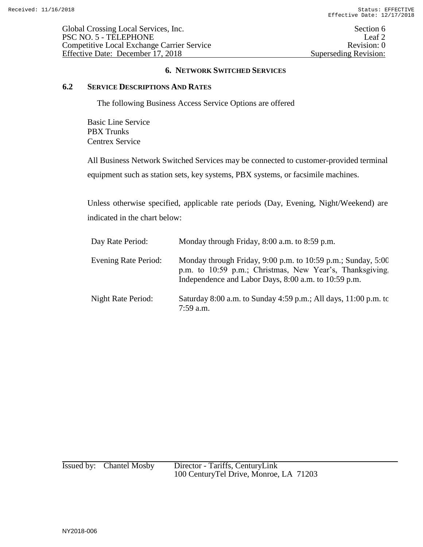Global Crossing Local Services, Inc. Section 6 PSC NO. 5 - TELEPHONE Leaf 2<br>Competitive Local Exchange Carrier Service Revision: 0 Competitive Local Exchange Carrier Service<br>
Effective Date: December 17, 2018<br>
Superseding Revision: 0 Effective Date: December 17, 2018

# **6. NETWORK SWITCHED SERVICES**

### **6.2 SERVICE DESCRIPTIONS AND RATES**

The following Business Access Service Options are offered

Basic Line Service PBX Trunks Centrex Service

All Business Network Switched Services may be connected to customer-provided terminal equipment such as station sets, key systems, PBX systems, or facsimile machines.

Unless otherwise specified, applicable rate periods (Day, Evening, Night/Weekend) are indicated in the chart below:

| Day Rate Period:     | Monday through Friday, 8:00 a.m. to 8:59 p.m.                                                                                                                                   |
|----------------------|---------------------------------------------------------------------------------------------------------------------------------------------------------------------------------|
| Evening Rate Period: | Monday through Friday, 9:00 p.m. to 10:59 p.m.; Sunday, 5:00<br>p.m. to 10:59 p.m.; Christmas, New Year's, Thanksgiving<br>Independence and Labor Days, 8:00 a.m. to 10:59 p.m. |
| Night Rate Period:   | Saturday 8:00 a.m. to Sunday 4:59 p.m.; All days, $11:00$ p.m. to<br>7:59 a.m.                                                                                                  |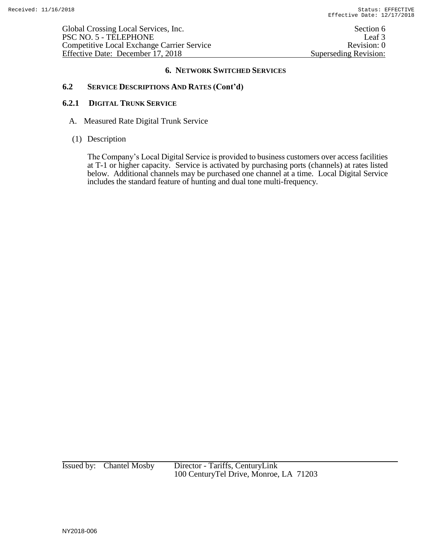Global Crossing Local Services, Inc. Section 6 PSC NO. 5 - TELEPHONE Leaf 3<br>Competitive Local Exchange Carrier Service Revision: 0 Competitive Local Exchange Carrier Service<br>
Effective Date: December 17, 2018<br>
Superseding Revision: 0 Effective Date: December 17, 2018

### **6. NETWORK SWITCHED SERVICES**

## **6.2 SERVICE DESCRIPTIONS AND RATES (Cont'd)**

### **6.2.1 DIGITAL TRUNK SERVICE**

- A. Measured Rate Digital Trunk Service
- (1) Description

The Company's Local Digital Service is provided to business customers over access facilities at T-1 or higher capacity. Service is activated by purchasing ports (channels) at rates listed below. Additional channels may be purchased one channel at a time. Local Digital Service includes the standard feature of hunting and dual tone multi-frequency.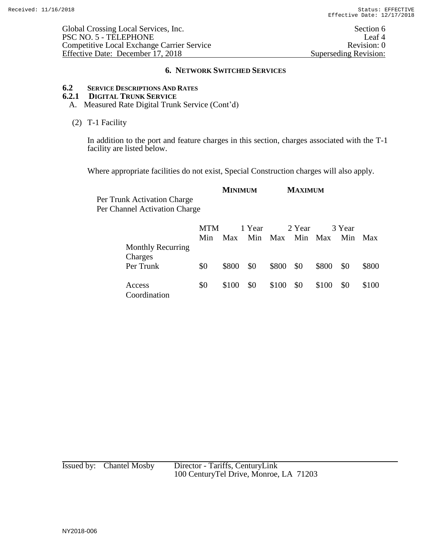Global Crossing Local Services, Inc. Section 6 PSC NO. 5 - TELEPHONE Leaf 4<br>
Competitive Local Exchange Carrier Service Revision: 0 Competitive Local Exchange Carrier Service<br>
Effective Date: December 17, 2018<br>
Superseding Revision: 0 Effective Date: December 17, 2018

#### **6. NETWORK SWITCHED SERVICES**

# **6.2 SERVICE DESCRIPTIONS AND RATES**

# **6.2.1 DIGITAL TRUNK SERVICE**

A. Measured Rate Digital Trunk Service (Cont'd)

### (2) T-1 Facility

In addition to the port and feature charges in this section, charges associated with the T-1 facility are listed below.

Where appropriate facilities do not exist, Special Construction charges will also apply.

|                               |            | <b>MINIMUM</b> | <b>MAXIMUM</b> |         |  |
|-------------------------------|------------|----------------|----------------|---------|--|
| Per Trunk Activation Charge   |            |                |                |         |  |
| Per Channel Activation Charge |            |                |                |         |  |
|                               |            |                |                |         |  |
|                               | <b>MTM</b> | - 1 Year       | 2 Year         | -3 Year |  |

|                                     | IVI I M |       | 1 year |             | z rear |       | 3 Year |            |
|-------------------------------------|---------|-------|--------|-------------|--------|-------|--------|------------|
|                                     | Min     | Max   | Min    | Max Min Max |        |       | Min    | <b>Max</b> |
| <b>Monthly Recurring</b><br>Charges |         |       |        |             |        |       |        |            |
| Per Trunk                           | \$0     | \$800 | \$0    | \$800 \$0   |        | \$800 | \$0    | \$800      |
| Access<br>Coordination              | \$0     | \$100 | \$0    | \$100       | - \$0  | \$100 | \$0    | \$100      |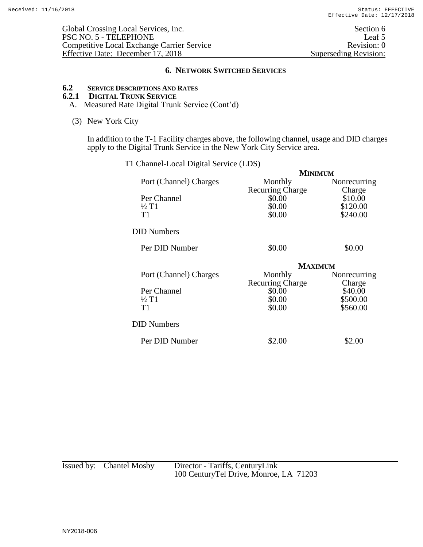# **6.2 SERVICE DESCRIPTIONS AND RATES**

# **6.2.1 DIGITAL TRUNK SERVICE**

- A. Measured Rate Digital Trunk Service (Cont'd)
- (3) New York City

In addition to the T-1 Facility charges above, the following channel, usage and DID charges apply to the Digital Trunk Service in the New York City Service area.

|                        | <b>MINIMUM</b>          |              |
|------------------------|-------------------------|--------------|
| Port (Channel) Charges | Monthly                 | Nonrecurring |
|                        | <b>Recurring Charge</b> | Charge       |
| Per Channel            | \$0.00                  | \$10.00      |
| $\frac{1}{2}$ T1       | \$0.00                  | \$120.00     |
| T1                     | \$0.00                  | \$240.00     |
| <b>DID Numbers</b>     |                         |              |
| Per DID Number         | \$0.00                  | \$0.00       |
|                        | <b>MAXIMUM</b>          |              |
| Port (Channel) Charges | Monthly                 | Nonrecurring |
|                        | <b>Recurring Charge</b> | Charge       |
| Per Channel            | \$0.00                  | \$40.00      |
| $\frac{1}{2}$ T1       | \$0.00                  | \$500.00     |
| T <sub>1</sub>         | \$0.00                  | \$560.00     |
| <b>DID Numbers</b>     |                         |              |
| Per DID Number         | \$2.00                  | \$2.00       |

| T1 Channel-Local Digital Service (LDS) |  |  |  |  |  |  |  |
|----------------------------------------|--|--|--|--|--|--|--|
|----------------------------------------|--|--|--|--|--|--|--|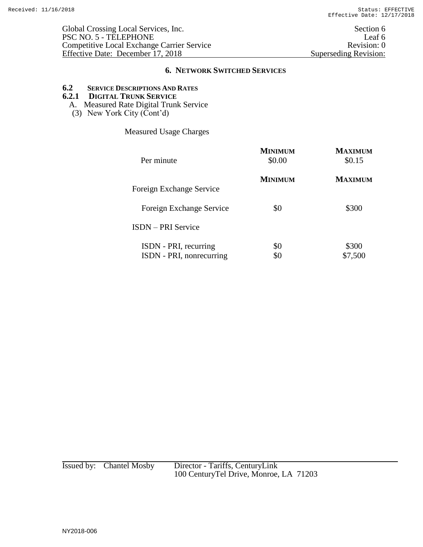# **6.2 SERVICE DESCRIPTIONS AND RATES**

# **6.2.1 DIGITAL TRUNK SERVICE**

- A. Measured Rate Digital Trunk Service
- (3) New York City  $(\text{Cont}^3d)$

Measured Usage Charges

| Per minute                                        | <b>MINIMUM</b><br>\$0.00 | <b>MAXIMUM</b><br>\$0.15 |
|---------------------------------------------------|--------------------------|--------------------------|
| Foreign Exchange Service                          | <b>MINIMUM</b>           | <b>MAXIMUM</b>           |
| Foreign Exchange Service                          | \$0                      | \$300                    |
| <b>ISDN</b> – PRI Service                         |                          |                          |
| ISDN - PRI, recurring<br>ISDN - PRI, nonrecurring | \$0                      | \$300<br>\$7,500         |

| Issued by: Chantel Mosby | Director - Tariffs, CenturyLink         |
|--------------------------|-----------------------------------------|
|                          | 100 Century Tel Drive, Monroe, LA 71203 |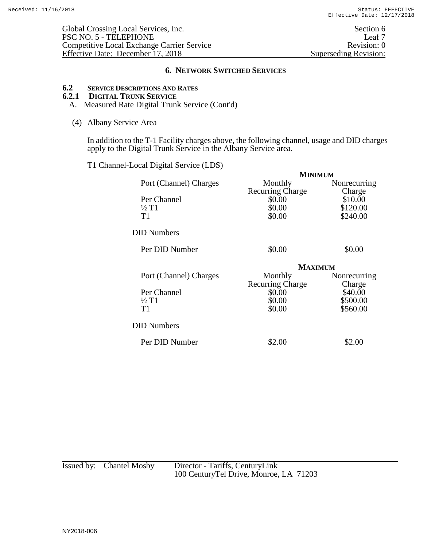# **6.2 SERVICE DESCRIPTIONS AND RATES**

# **6.2.1 DIGITAL TRUNK SERVICE**

A. Measured Rate Digital Trunk Service (Cont'd)

#### (4) Albany Service Area

In addition to the T-1 Facility charges above, the following channel, usage and DID charges apply to the Digital Trunk Service in the Albany Service area.

T1 Channel-Local Digital Service (LDS)

|                        | <b>MINIMUM</b>          |              |
|------------------------|-------------------------|--------------|
| Port (Channel) Charges | Monthly                 | Nonrecurring |
|                        | <b>Recurring Charge</b> | Charge       |
| Per Channel            | \$0.00                  | \$10.00      |
| $\frac{1}{2}$ T1       | \$0.00                  | \$120.00     |
| T1                     | \$0.00                  | \$240.00     |
| DID Numbers            |                         |              |
| Per DID Number         | \$0.00                  | \$0.00       |
|                        | <b>MAXIMUM</b>          |              |
| Port (Channel) Charges | Monthly                 | Nonrecurring |
|                        | <b>Recurring Charge</b> | Charge       |
| Per Channel            | \$0.00                  | \$40.00      |
| $\frac{1}{2}$ T1       | \$0.00                  | \$500.00     |
| T1                     | \$0.00                  | \$560.00     |
| <b>DID Numbers</b>     |                         |              |
| Per DID Number         | \$2.00                  | \$2.00       |
|                        |                         |              |

| Issued by: Chantel Mosby | Director - Tariffs, CenturyLink         |
|--------------------------|-----------------------------------------|
|                          | 100 Century Tel Drive, Monroe, LA 71203 |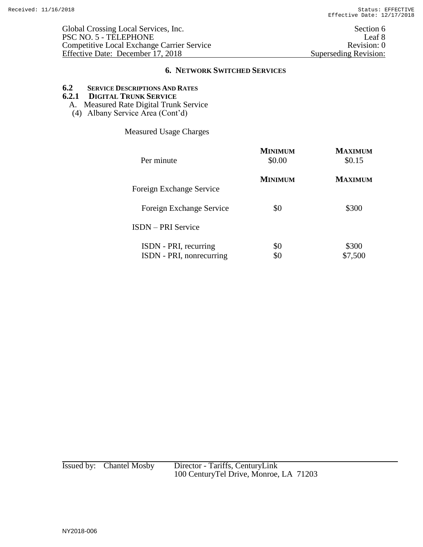# **6.2 SERVICE DESCRIPTIONS AND RATES**

# **6.2.1 DIGITAL TRUNK SERVICE**

- A. Measured Rate Digital Trunk Service
- (4) Albany Service Area (Cont'd)

Measured Usage Charges

| Per minute                                        | <b>MINIMUM</b><br>\$0.00 | <b>MAXIMUM</b><br>\$0.15 |
|---------------------------------------------------|--------------------------|--------------------------|
| Foreign Exchange Service                          | <b>MINIMUM</b>           | <b>MAXIMUM</b>           |
| Foreign Exchange Service                          | \$0                      | \$300                    |
| <b>ISDN</b> – PRI Service                         |                          |                          |
| ISDN - PRI, recurring<br>ISDN - PRI, nonrecurring | \$0                      | \$300<br>\$7,500         |

| Issued by: Chantel Mosby | Director - Tariffs, CenturyLink         |
|--------------------------|-----------------------------------------|
|                          | 100 Century Tel Drive, Monroe, LA 71203 |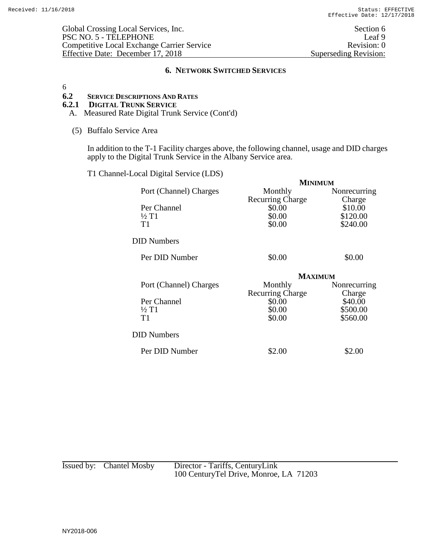Global Crossing Local Services, Inc. Section 6 PSC NO. 5 - TELEPHONE Leaf 9<br>Competitive Local Exchange Carrier Service Revision: 0 Competitive Local Exchange Carrier Service<br>
Effective Date: December 17, 2018<br>
Superseding Revision: 0 Effective Date: December 17, 2018

#### **6. NETWORK SWITCHED SERVICES**

6

### **6.2 SERVICE DESCRIPTIONS AND RATES**

**6.2.1 DIGITAL TRUNK SERVICE**

A. Measured Rate Digital Trunk Service (Cont'd)

(5) Buffalo Service Area

In addition to the T-1 Facility charges above, the following channel, usage and DID charges apply to the Digital Trunk Service in the Albany Service area.

T1 Channel-Local Digital Service (LDS)

|                                                   | <b>MINIMUM</b>                                        |                                           |
|---------------------------------------------------|-------------------------------------------------------|-------------------------------------------|
| Port (Channel) Charges                            | Monthly                                               | Nonrecurring                              |
| Per Channel<br>$\frac{1}{2}$ T <sub>1</sub><br>T1 | <b>Recurring Charge</b><br>\$0.00<br>\$0.00<br>\$0.00 | Charge<br>\$10.00<br>\$120.00<br>\$240.00 |
| <b>DID</b> Numbers                                |                                                       |                                           |
| Per DID Number                                    | \$0.00                                                | \$0.00                                    |
|                                                   | <b>MAXIMUM</b>                                        |                                           |
| Port (Channel) Charges                            | Monthly                                               | Nonrecurring                              |
|                                                   | <b>Recurring Charge</b>                               | Charge                                    |
| Per Channel<br>$\frac{1}{2}$ T1                   | \$0.00<br>\$0.00                                      | \$40.00<br>\$500.00                       |
| T1                                                | \$0.00                                                | \$560.00                                  |
| <b>DID Numbers</b>                                |                                                       |                                           |
| Per DID Number                                    | \$2.00                                                | \$2.00                                    |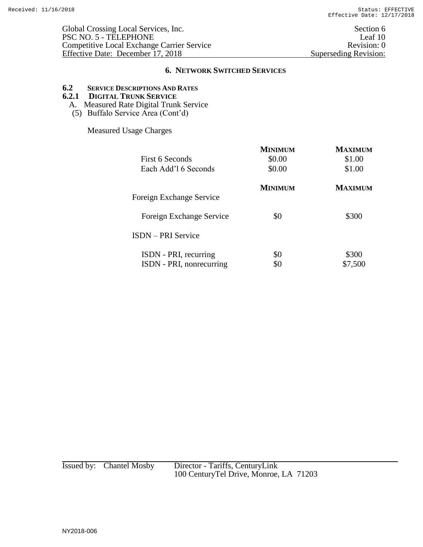# **6.2 SERVICE DESCRIPTIONS AND RATES**

# **6.2.1 DIGITAL TRUNK SERVICE**

- A. Measured Rate Digital Trunk Service
- (5) Buffalo Service Area (Cont'd)

Measured Usage Charges

|                           | <b>MINIMUM</b> | <b>MAXIMIM</b> |
|---------------------------|----------------|----------------|
| First 6 Seconds           | \$0.00         | \$1.00         |
| Each Add'l 6 Seconds      | \$0.00         | \$1.00         |
|                           | <b>MINIMUM</b> | <b>MAXIMUM</b> |
| Foreign Exchange Service  |                |                |
| Foreign Exchange Service  | \$0            | \$300          |
| <b>ISDN</b> – PRI Service |                |                |
| ISDN - PRI, recurring     | \$0            | \$300          |
| ISDN - PRI, nonrecurring  |                | \$7,500        |

Issued by: Chantel Mosby Director - Tariffs, CenturyLink 100 CenturyTel Drive, Monroe, LA 71203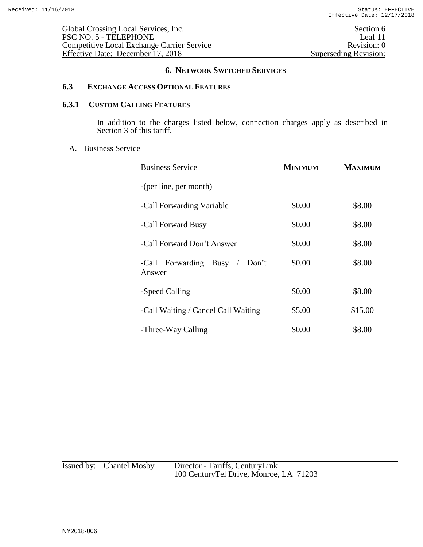## **6.3 EXCHANGE ACCESS OPTIONAL FEATURES**

# **6.3.1 CUSTOM CALLING FEATURES**

In addition to the charges listed below, connection charges apply as described in Section 3 of this tariff.

### A. Business Service

| <b>Business Service</b>                 | <b>MINIMUM</b> | <b>MAXIMUM</b> |
|-----------------------------------------|----------------|----------------|
| -(per line, per month)                  |                |                |
| -Call Forwarding Variable               | \$0.00         | \$8.00         |
| -Call Forward Busy                      | \$0.00         | \$8.00         |
| -Call Forward Don't Answer              | \$0.00         | \$8.00         |
| -Call Forwarding Busy / Don't<br>Answer | \$0.00         | \$8.00         |
| -Speed Calling                          | \$0.00         | \$8.00         |
| -Call Waiting / Cancel Call Waiting     | \$5.00         | \$15.00        |
| -Three-Way Calling                      | \$0.00         | \$8.00         |

| Issued by: Chantel Mosby | Director - Tariffs, CenturyLink         |
|--------------------------|-----------------------------------------|
|                          | 100 Century Tel Drive, Monroe, LA 71203 |